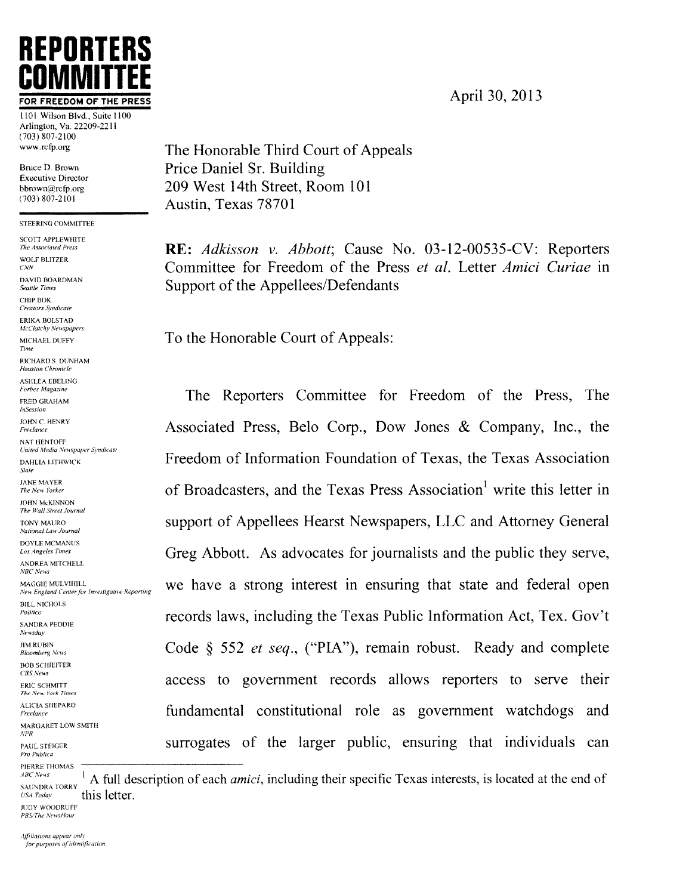# REPORTERS <u>GUMINITTEE</u>

1101 Wilson Blvd., Suite 1100 Arlington, Va. 22209-2211 — <sup>3</sup> 'lI7jl Ill www.rcfp.org

Bruce D. Brown Executive Director bbrown@rcfp.org  $(703) 807 - 2101$ 

STEERING COMMITTEE

SCOTT APPLEWHITE<br>The Associated Press DAVID BOARDMA\ ('HIP HOE Creators Syndicate **ERIKA BOLSTAD** McClatchy Newspapers RICHARD S. DUNHAM Houston Chronicle ASHLEA EBELING Forbes Magazine **FRED GRAHAM InSession** JOHN C. HENRY Freelance NAT HENTOFF United Media Newspaper Syndicate DAHLIA LITHWICK State JOHN McKINNON The Wall Street Journal DOYLE MCMANUS<br>Los Angeles Times ANDREA MITCHELL NBC News BILL NICHOLS<br>Politico SANDRA PEDDIE<br>Newsdav **JIM RUBIN Bloomberg News BOB SCHIEFFER**  $CBS$  News **ERIC SCHMITT** The New York Times **ALICIA SHEPARD** Freelance MARGARET LOW SMITH PAUL STEIGER<br>Pro Publica

PIERRE THOMAS<br>ABC News

 $\frac{ABC\ Nens}{SALNDIRA\ TORAY}$ <sup>1</sup> A full description of each *amici*, including their specific Texas interests, is located at the end of USA Today this letter. JUDY WOODRUFF

PBS/The NewsHour

Affiliations appear only for purposes of identification. The Honorable Third Court of Appeals Price Daniel Sr. Building 209 West 14th Street, Room 101 Austin, Texas 78701

The Associated Press<br>
WOLF BLITZER<br>
COMMITTER COMMITTEE COMMITTEE for Freedom of the Press *et al* Letter *Amici Curiae* in Committee for Freedom of the Press et al. Letter Amici Curiae in  $S_{\text{Eaulle Times}}$   $\sum_{\text{Boulle Times}}$ 

MICHAEL DUFFY **To the Honorable Court of Appeals:** 

The Reporters Committee for Freedom of the Press, The Associated Press, Belo Corp., Dow Jones & Company, Inc., the Freedom of Information Foundation of Texas, the Texas Association  $T_{the New Yorker}$  of Broadcasters, and the Texas Press Association<sup>1</sup> write this letter in TONY MAURO<br>National Law Journal Care Journal Care Journal Care Journal Care Support of Appellees Hearst Newspapers, LLC and Attorney General Greg Abbott. As advocates for journalists and the public they serve, MAGGIE MULVIHILL NEW England Center for Investigative Reporting we have a strong interest in ensuring that state and federal open records laws, including the Texas Public Information Act, Tex. Gov't Code  $\S$  552 *et seq.*, ("PIA"), remain robust. Ready and complete access to government records allows reporters to serve their fundamental constitutional role as government watchdogs and surrogates of the larger public, ensuring that individuals can

FOR FREEDOM OF THE PRESS  $\overline{P}$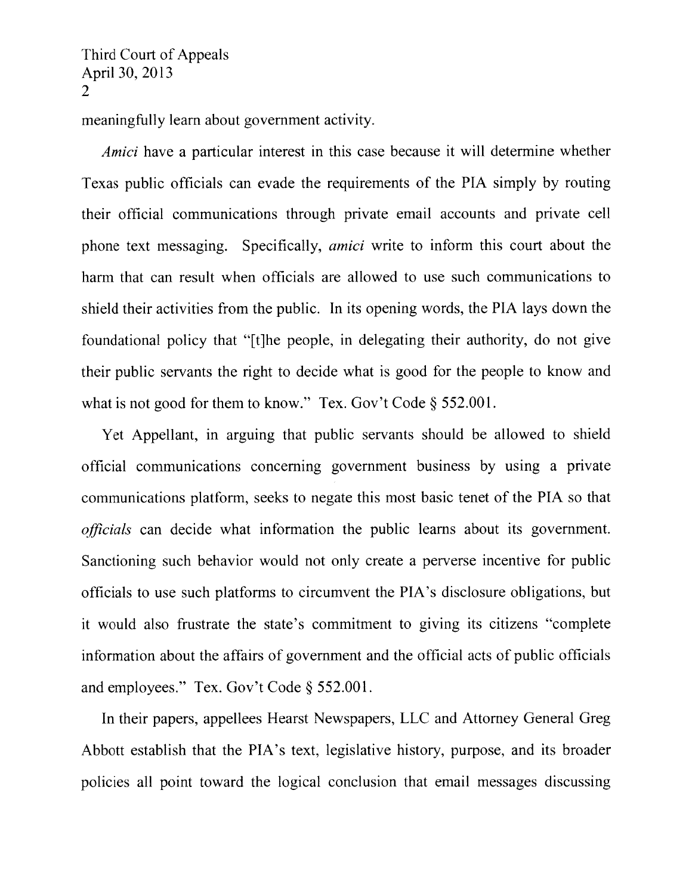meaningfully learn about government activity.

Amici have a particular interest in this case because it will determine whether Texas public officials can evade the requirements of the PEA simply by routing their official communications through private email accounts and private cell phone text messaging. Specifically, *amici* write to inform this court about the harm that can result when officials are allowed to use such communications to shield their activities from the public. In its opening words, the PIA lays down the foundational policy that "[t]he people, in delegating their authority, do not give their public servants the right to decide what is good for the people to know and what is not good for them to know." Tex. Gov't Code § 552.001.

Yet Appellant, in arguing that public servants should be allowed to shield official communications concerning government business by using a private communications platform, seeks to negate this most basic tenet of the PIA so that officials can decide what information the public learns about its government. Sanctioning such behavior would not only create a perverse incentive for public officials to use such platforms to circumvent the PIA's disclosure obligations, but it would also frustrate the state's commitment to giving its citizens "complete information about the affairs of government and the official acts of public officials and employees." Tex. Gov't Code  $\S$  552.001.

In their papers, appellees Hearst Newspapers, LLC and Attorney General Greg Abbott establish that the PIA's text, legislative history, purpose, and its broader policies all point toward the logical conclusion that email messages discussing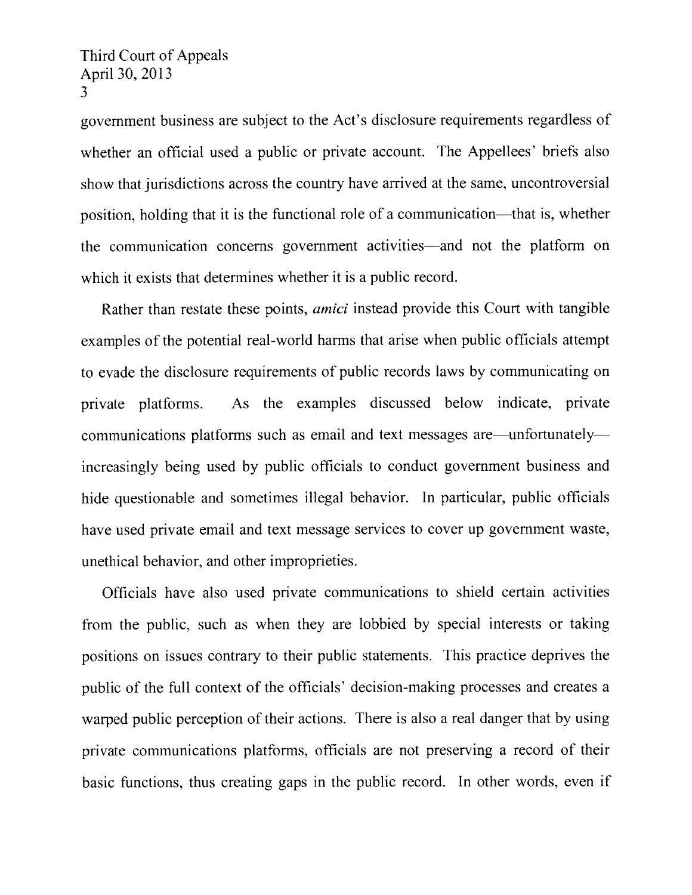government business are subject to the Act's disclosure requirements regardless of whether an official used a public or private account. The Appellees' briefs also show that jurisdictions across the country have arrived at the same, uncontroversial position. holding that it is the functional role of a communication—that is, whether the communication concerns government activities—and not the platform on which it exists that determines whether it is a public record.

Rather than restate these points, *amici* instead provide this Court with tangible examples of the potential real-world harms that arise when public officials attempt to evade the disclosure requirements of public records laws by communicating on private platforms. As the examples discussed below indicate, private communications platforms such as email and text messages are—unfortunately increasingly being used by public officials to conduct government business and hide questionable and sometimes illegal behavior. In particular. public officials have used private email and text message services to cover up government waste, unethical behavior, and other improprieties.

Officials have also used private communications to shield certain activities from the public, such as when they are lobbied by special interests or taking positions on issues contrary to their public statements. This practice deprives the public of the full context of the officials' decision-making processes and creates a warped public perception of their actions. There is also a real danger that by using private communications platforms. officials are not preserving a record of their basic functions, thus creating gaps in the public record. In other words, even if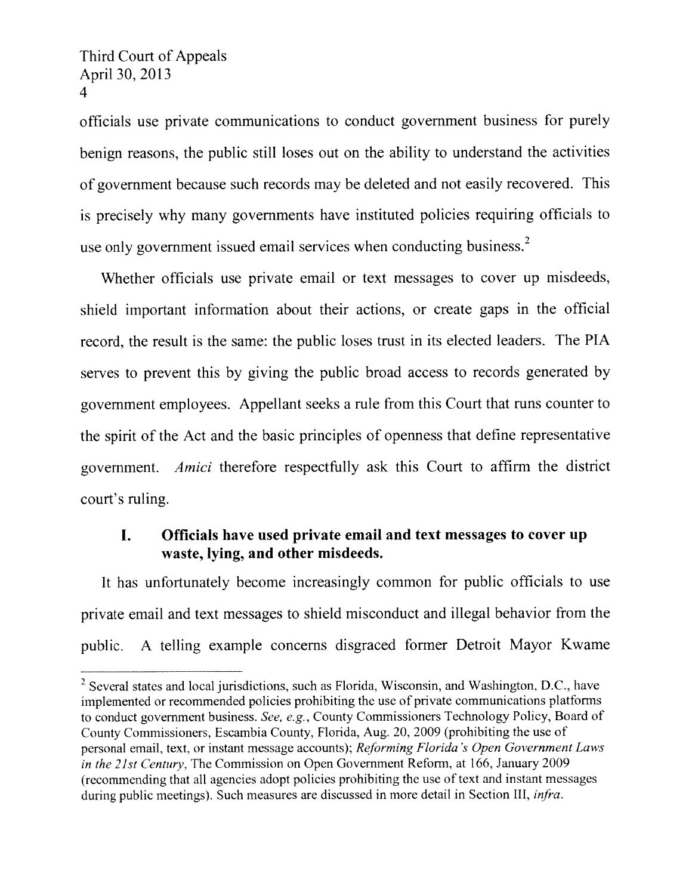officials use private communications to conduct government business for purely benign reasons. the public still loses out on the ability to understand the activities of government because such records may be deleted and not easily recovered. This is precisely why many governments have instituted policies requiring officials to use only government issued email services when conducting business.<sup>2</sup>

Whether officials use private email or text messages to cover up misdeeds, shield important information about their actions, or create gaps in the official record, the result is the same: the public loses trust in its elected leaders. The PIA serves to prevent this by giving the public broad access to records generated by government employees. Appellant seeks a rule from this Court that runs counter to the spirit of the Act and the basic principles of openness that define representative government. Amici therefore respectfully ask this Court to affirm the district court's ruling.

## I. Officials have used private email and text messages to cover up waste, lying, and other misdeeds.

It has unfortunately become increasingly common for public officials to use private email and text messages to shield misconduct and illegal behavior from the public. A telling example concerns disgraced former Detroit Mayor Kwame

 $2$  Several states and local jurisdictions, such as Florida, Wisconsin, and Washington, D.C., have implemented or recommended policies prohibiting the use of private communications platforms to conduct government business. See, e.g., County Commissioners Technology Policy, Board of County Commissioners, Escambia County, Florida, Aug. 20, 2009 (prohibiting the use of personal email, text, or instant message accounts); Reforming Florida's Open Government Laws in the 21st Century, The Commission on Open Government Reform, at 166, January 2009 (recommending that all agencies adopt policies prohibiting the use of text and instant messages during public meetings). Such measures are discussed in more detail in Section III, *infra*.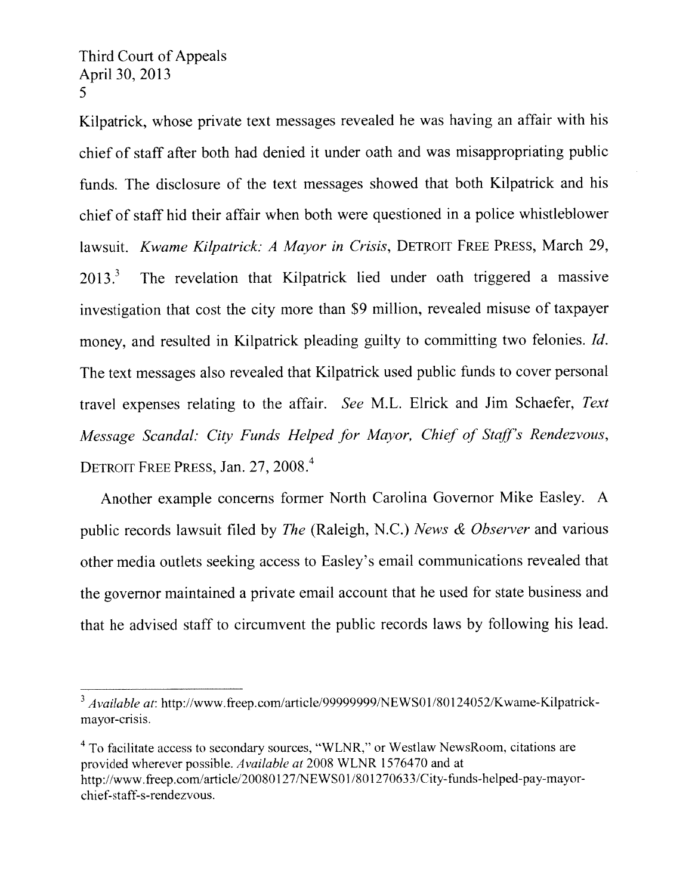Kilpatrick, whose private text messages revealed he was having an affair with his chief of staff after both had denied it under oath and was misappropriating public funds. The disclosure of the text messages showed that both Kilpatrick and his chief of stafi hid their affair when both were questioned in a police whistleblower lawsuit. Kwame Kilpatrick: A Mayor in Crisis, DETROIT FREE PRESS, March 29,  $2013<sup>3</sup>$  The revelation that Kilpatrick lied under oath triggered a massive investigation that cost the city more than \$9 million, revealed misuse of taxpayer money, and resulted in Kilpatrick pleading guilty to committing two felonies. *Id*. The text messages also revealed that Kilpatrick used public funds to cover personal travel expenses relating to the affair. See M.L. Elrick and Jim Schaefer, Test Message Scandal: City Funds Helped for Mayor, Chief of Staff's Rendezvous, DETROIT FREE PRESS, Jan. 27, 2008.<sup>4</sup>

Another example concerns former North Carolina Governor Mike Easley. A public records lawsuit filed by The (Raleigh, N.C.) News & Observer and various other media outlets seeking access to Easley's email communications revealed that the governor maintained a private email account that he used for state business and that he advised staff to circumvent the public records laws by following his lead.

 $3$  Available at: http://www.freep.com/article/99999999/NEWS01/80124052/Kwame-Kilpatrickmayor-crisis.

To facilitate access to secondary sources, "WLNR." or Westlaw NewsRoom. citations are provided wherever possible. Available at 2008 WLNR 1576470 and at http://www.freep.com/article/20080127/NEWS01/801270633/City-funds-helped-pay-mayorchief-staff-s-rendezvous.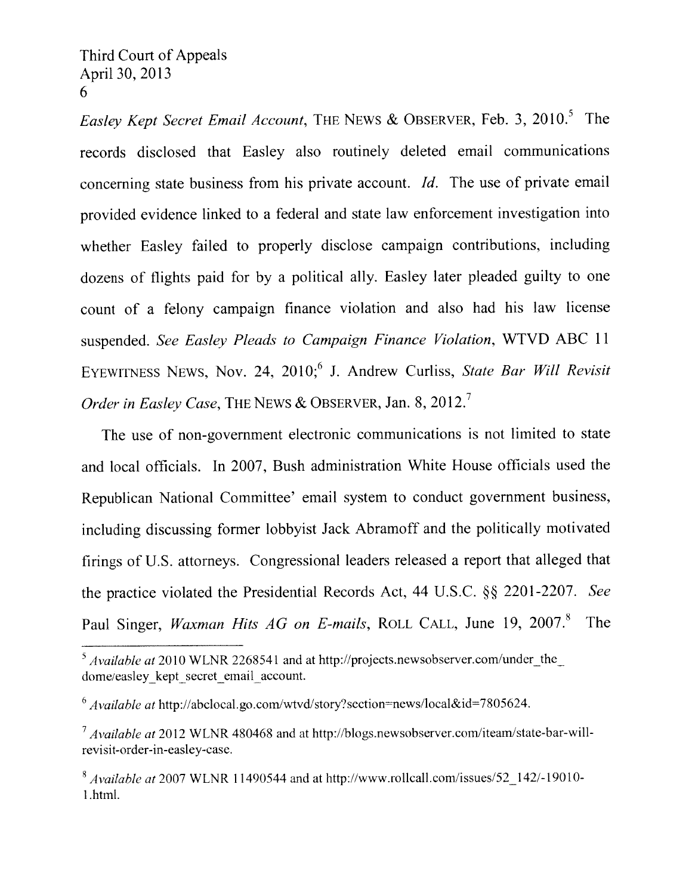Easley Kept Secret Email Account, THE NEWS & OBSERVER, Feb. 3, 2010.<sup>5</sup> The records disclosed that Easley also routinely deleted email communications concerning state business from his private account. Id. The use of private email provided evidence linked to <sup>a</sup> federal and state law enforcement investigation into whether Easley failed to properly disclose campaign contributions, including dozens of flights paid for by <sup>a</sup> political ally. Easley later <sup>p</sup>leaded guilty to one count of <sup>a</sup> felony campaign finance violation and also had his law license suspended. See Easley Pleads to Campaign Finance Violation, WTVD ABC <sup>11</sup> EYEWITNESS NEWS, Nov. 24, 2010;<sup>6</sup> J. Andrew Curliss, State Bar Will Revisit Order in Easley Case, THE NEWS & OBSERVER, Jan. 8, 2012.<sup>7</sup>

The use of non-governmen<sup>t</sup> electronic communications is not limited to state and local officials. In 2007, Bush administration White House officials used the Republican National Committee' email system to conduct governmen<sup>t</sup> business, including discussing former lobbyist Jack Abramoff and the politically motivated firings of U.S. attorneys. Congressional leaders released a report that alleged that the practice violated the Presidential Records Act, 44 U.S.C. §§ 2201-2207. See Paul Singer, Waxman Hits AG on E-mails, ROLL CALL, June 19, 2007.8 The

 $5$  Available at 2010 WLNR 2268541 and at http://projects.newsobserver.com/under\_the\_ dome/easley kept secret email account.

 $6$  Available at http://abclocal.go.com/wtvd/story?section=news/local&id=7805624.

 $7$  Available at 2012 WLNR 480468 and at http://blogs.newsobserver.com/iteam/state-bar-willrevisit-order-in-casley-case.

 $8$  Available at 2007 WLNR 11490544 and at http://www.rollcall.com/issues/52 142/-19010-1 html.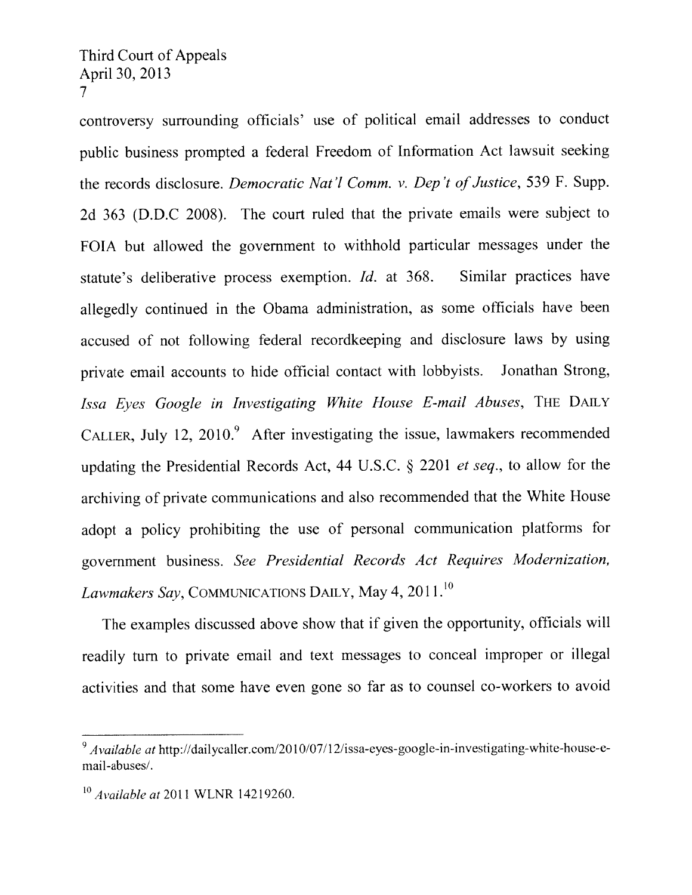controversy surrounding officials' use of political email addresses to conduct public business prompted <sup>a</sup> federal Freedom of Information Act lawsuit seeking the records disclosure. Democratic Nat'l Comm. v. Dep't of Justice, 539 F. Supp. 2d <sup>363</sup> (D.D.C 2008). The court ruled that the private emails were subject to FOTA but allowed the governmen<sup>t</sup> to withhold particular messages under the statute's deliberative process exemption. Id. at 368. Similar practices have allegedly continued in the Obama administration, as some officials have been accused of not following federal recordkeeping and disclosure laws by using private email accounts to hide official contact with lobbyists. Jonathan Strong, Issa Eves Google in Investigating White House E-mail Abuses, THE DAILY CALLER, July 12, 2010. $9$  After investigating the issue, lawmakers recommended updating the Presidential Records Act, <sup>44</sup> U.S.C. § <sup>2201</sup> et seq., to allow for the archiving of private communications and also recommended that the White House adopt <sup>a</sup> policy prohibiting the use of persona<sup>l</sup> communication <sup>p</sup>latforms for governmen<sup>t</sup> business. See Presidential Records Act Requires Modernization, Lawmakers Say, COMMUNICATIONS DAILY, May 4, 2011.<sup>10</sup>

The examples discussed above show that if <sup>g</sup>iven the opportunity, officials will readily turn to private email and text messages to conceal improper or illegal activities and that some have even gone so far as to counsel co-workers to avoid

 $A$  vailable at http://dailycaller.com/2010/07/12/issa-eyes-google-in-investigating-white-house-ernail-abuses/,

 $10$  Available at 2011 WLNR 14219260.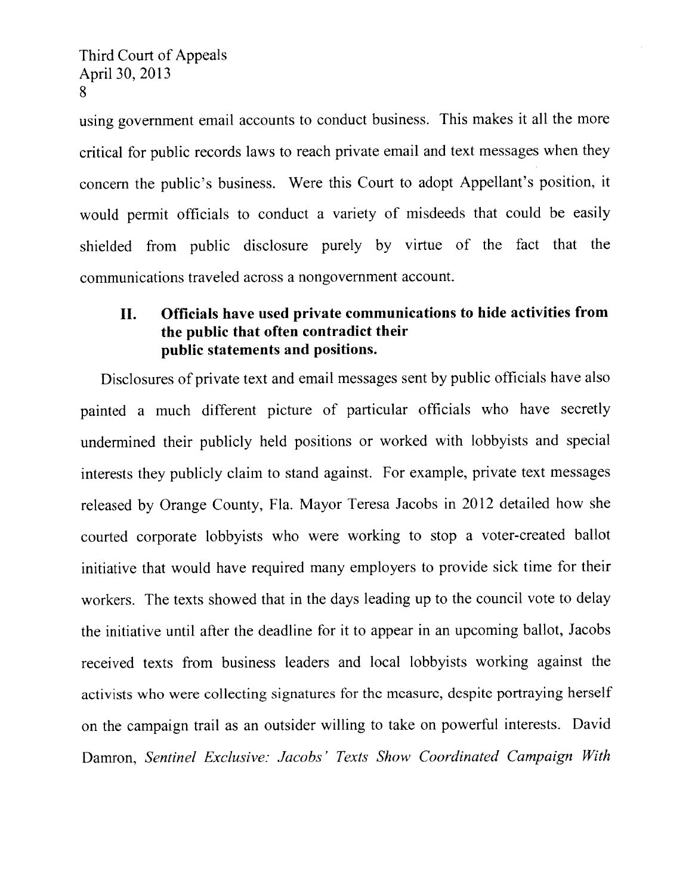using governmen<sup>t</sup> email accounts to conduct business. This makes it all the more critical for public records laws to reach private email and text messages when they concern the public's business, Were this Court to adopt Appellant's position, it would permit officials to conduct <sup>a</sup> variety of misdeeds that could be easily shielded from public disclosure purely by virtue of the fact that the communications traveled across <sup>a</sup> nongovernmen<sup>t</sup> account.

## II. Officials have used private communications to hide activities from the public that often contradict their public statements and positions.

Disclosures of private text and email messages sent by public officials have also painted <sup>a</sup> much different <sup>p</sup>icture of particular officials who have secretly undermined their publicly held positions or worked with lobbyists and special interests they publicly claim to stand against. For example, private text messages released by Orange County, Fla. Mayor Teresa Jacobs in <sup>2012</sup> detailed how she courted corporate lobbyists who were working to stop <sup>a</sup> voter-created ballot initiative that would have required many employers to provide sick time for their workers. The texts showed that in the days leading up to the council vote to delay the initiative until after the deadline for it to appear in an upcoming ballot, Jacobs received texts from business leaders and local lobbyists working against the activists who were collecting signatures for the measure, despite portraying herself on the campaign trail as an outsider willing to take on powerful interests. David Damron, Sentinel Exclusive: Jacobs' Texts Show Coordinated Campaign With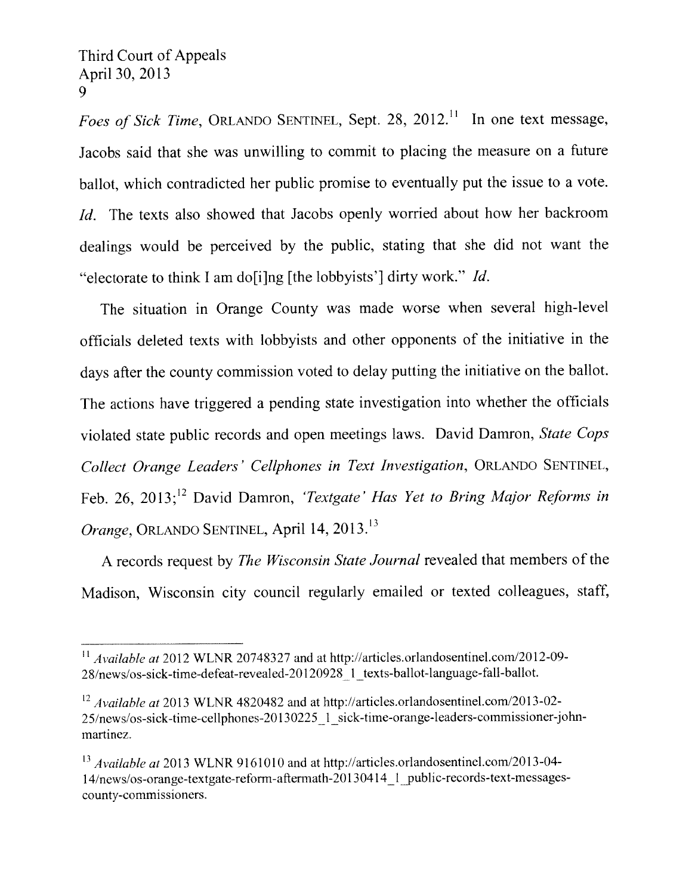Foes of Sick Time, ORLANDO SENTINEL, Sept. 28, 2012.<sup>11</sup> In one text message, Jacobs said that she was unwilling to commit to placing the measure on <sup>a</sup> future ballot, which contradicted her public promise to eventually pu<sup>t</sup> the issue to <sup>a</sup> vote. Id. The texts also showed that Jacobs openly worried about how her backroom dealings would be perceived by the public, stating that she did not want the "electorate to think I am do<sup>[i]</sup>ng [the lobbyists'] dirty work." *Id.* 

The situation in Orange County was made worse when several high-level officials deleted texts with lobbyists and other opponents of the initiative in the days after the county commission voted to delay putting the initiative on the ballot. The actions have triggered <sup>a</sup> pending state investigation into whether the officials violated state public records and open meetings laws. David Damron, State Cops Collect Orange Leaders' Cellphones in Text Investigation, ORLANDO SENTINEL, Feb. 26, 2013;<sup>12</sup> David Damron, 'Textgate' Has Yet to Bring Major Reforms in Orange, ORLANDO SENTINEL, April 14, 20l3.'

A records request by *The Wisconsin State Journal* revealed that members of the Madison, Wisconsin city council regularly emailed or texted colleagues, staff,

 $^{11}$  Available at 2012 WLNR 20748327 and at http://articles.orlandosentinel.com/2012-09-<sup>2</sup> 8/news/os-sick-time-defeat-revealed-20 1209281 texts-ballot-language-fall-ballot.

 $12$  Available at 2013 WLNR 4820482 and at http://articles.orlandosentinel.com/2013-02-25/news/os-sick-time-cellphones-20130225 1 sick-time-orange-leaders-commissioner-johnmartinez.

 $^{13}$  Available at 2013 WLNR 9161010 and at http://articles.orlandosentinel.com/2013-04-14/news/os-orange-textgate-reform-aftermath-20130414 1 public-records-text-messagescounty-commissioners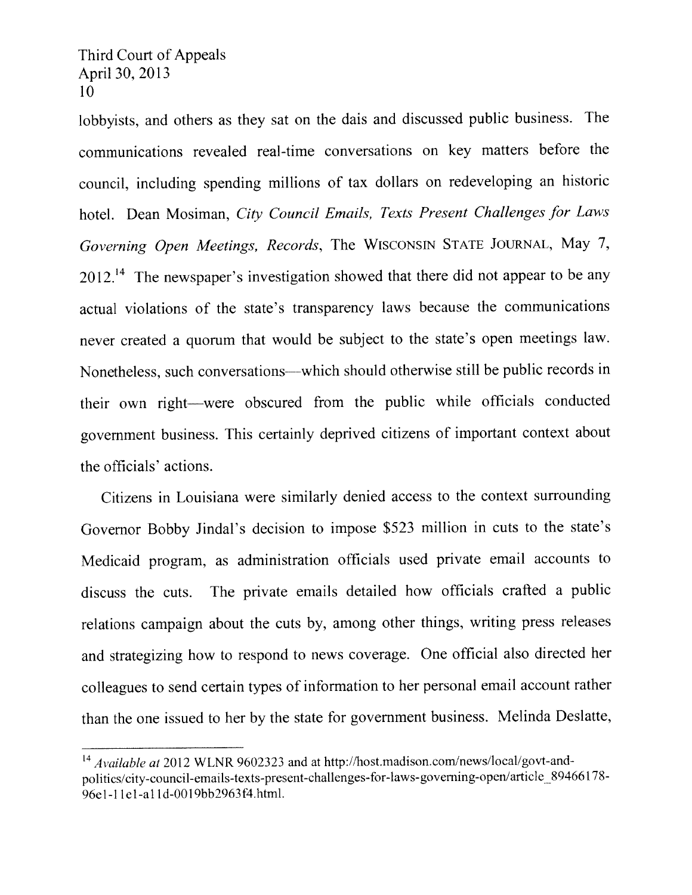lobbyists, and others as they sat on the dais and discussed public business. The communications revealed real-time conversations on key matters before the council, including spending millions of tax dollars on redeveloping an historic hotel. Dean Mosiman, City Council Emails, Texts Present Challenges for Laws Governing Open Meetings, Records, The WISCONSIN STATE JOURNAL, May 7,  $2012.<sup>14</sup>$  The newspaper's investigation showed that there did not appear to be any actual violations of the state's transparency laws because the communications never created <sup>a</sup> quorum that would be subject to the state's open meetings law. Nonetheless, such conversations—which should otherwise still be public records in their own right—were obscured from the public while officials conducted governmen<sup>t</sup> business. This certainly deprived citizens of important context about the officials' actions.

Citizens in Louisiana were similarly denied access to the context surrounding Governor Bobby Jindal's decision to impose \$523 million in cuts to the state's Medicaid program, as administration officials used private email accounts to discuss the cuts. The private emails detailed how officials crafted <sup>a</sup> public relations campaign about the cuts by, among other things, writing press releases and strategizing how to respond to news coverage. One official also directed her colleagues to send certain types of information to her persona<sup>l</sup> email account rather than the one issued to her by the state for governmen<sup>t</sup> business, Melinda Deslatte,

Available at 2012 WLNR 9602323 and at http://host.madison.com/news/local/govt-andpolitics/city-council-emails-texts-present-challenges-for-laws-governing-open/article 89466178-96e1-1 Id-al ld-0019bb2963t4htrnI.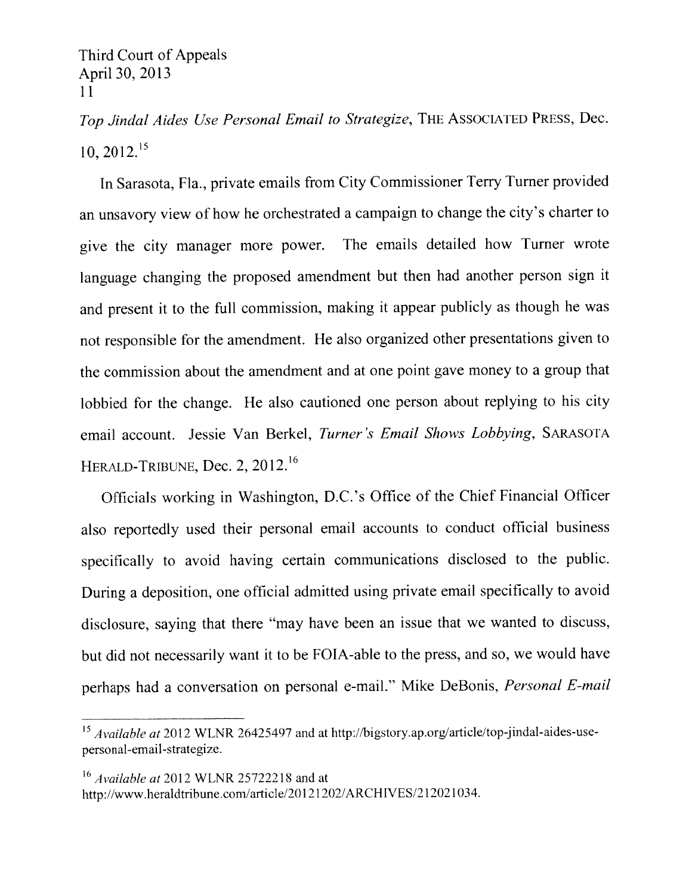Top Jindal Aides Use Personal Email to Strategize, THE ASSOCIATED PRESS, Dec.  $10, 2012.<sup>15</sup>$ 

In Sarasota, Fla., private emails from City Commissioner Terry Turner provided an unsavory view of how he orchestrated <sup>a</sup> campaign to change the city's charter to <sup>g</sup>ive the city manager more power. The ernails detailed how Turner wrote language changing the propose<sup>d</sup> amendment but then had another person sign it and presen<sup>t</sup> it to the full commission, making it appear publicly as though he was not responsible for the amendment. He also organized other presentations <sup>g</sup>iven to the commission about the amendment and at one point gave money to <sup>a</sup> group that lobbied for the change. He also cautioned one person about replying to his city email account. Jessie Van Berkel, Turner 's Email Shows Lobbying, SARAsoTA HERALD-TRIBUNE, Dec. 2, 2012.<sup>16</sup>

Officials working in Washington, D.C.'s Office of the Chief Financial Officer also reportedly used their persona<sup>l</sup> email accounts to conduct official business specifically to avoid having certain communications disclosed to the public. During <sup>a</sup> deposition, one official admitted using private email specifically to avoid disclosure, saying that there "may have been an issue that we wanted to discuss, but did not necessarily want it to be FOIA-able to the press, and so, we would have perhaps had <sup>a</sup> conversation on persona<sup>l</sup> e-mail." Mike DeBonis, Personal E-mail During a deposition, one official admitted using private entail spectrically to ave<br>
disclosure, saying that there "may have been an issue that we wanted to discus<br>
but did not necessarily want it to be FOIA-able to the pr be FC<br>
be FC<br>
be FC<br>
be Separation on person<br>
be Available at 2012 WLNR 26425497 and at<br>
be Available at 2012 WLNR 25722218 and at<br>
http://www.heraldtribune.com/article/201212

personal-email-strategize.

http://www.heraldtribune.com/article/20121202/ARCHIVES/212021034.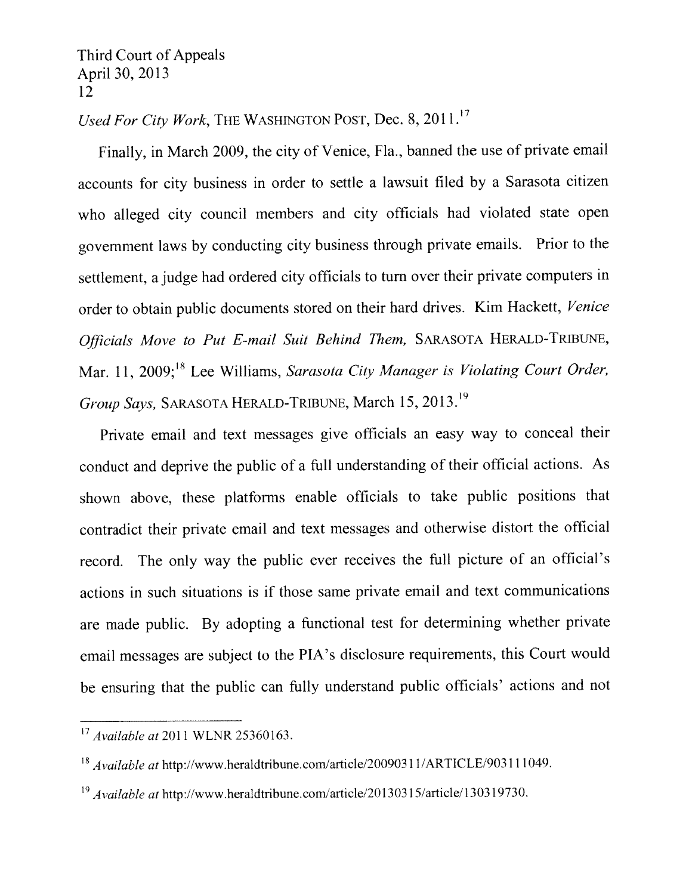Used For City Work, THE WASHINGTON POST, Dec.  $8, 2011$ .<sup>17</sup>

Finally, in March 2009. the city of Venice, Fla., banned the use of private email accounts for city business in order to settle <sup>a</sup> lawsuit filed by <sup>a</sup> Sarasota citizen who alleged city council members and city officials had violated state open governmen<sup>t</sup> laws by conducting city business through private emails. Prior to the settlement, <sup>a</sup> judge had ordered city officials to turn over their private computers in order to obtain public documents stored on their hard drives. Kim Hackett, Venice Officials Move to Put E-mail Suit Behind Them, SARAsoTA HERALD-TRIBUNE, Mar. 11, 2009;<sup>18</sup> Lee Williams, Sarasota City Manager is Violating Court Order, Group Says, SARASOTA HERALD-TRIBUNE, March 15, 2013.<sup>19</sup>

Private email and text messages <sup>g</sup>ive officials an easy way to conceal their conduct and deprive the public of <sup>a</sup> full understanding of their official actions. As shown above, these <sup>p</sup>latforms enable officials to take public positions that contradict their private email and text messages and otherwise distort the official record. The only way the public ever receives the full <sup>p</sup>icture of an official's actions in such situations is if those same private email and text communications are made public. By adopting <sup>a</sup> functional test for determining whether private email messages are subject to the PIA's disclosure requirements, this Court would be ensuring that the public can fully understand public officials' actions and not

 $17$  Available at 2011 WLNR 25360163.

 $^{18}$  Available at http://www.heraldtribune.com/article/20090311/ARTICLE/903111049.

 $^{19}$  Available at http://www.heraldtribune.com/article/20130315/article/130319730.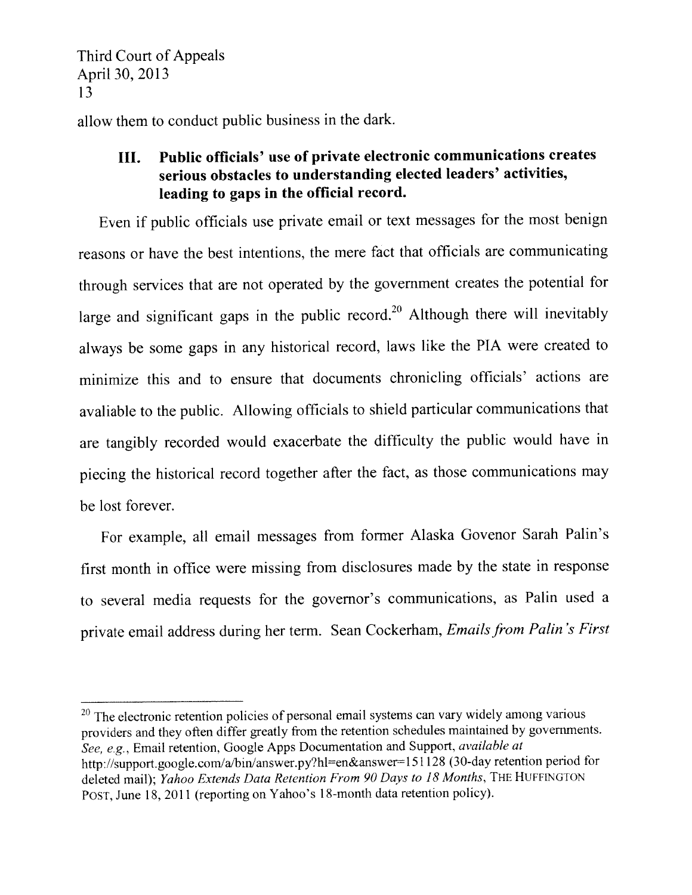allow them to conduct public business in the dark,

# III. Public officials' use of private electronic communications creates serious obstacles to understanding elected leaders' activities, leading to gaps in the official record.

Even if public officials use private email or text messages for the most benign reasons or have the best intentions, the mere fact that officials are communicating through services that are not operated by the governmen<sup>t</sup> creates the potential for large and significant gaps in the public record.<sup>20</sup> Although there will inevitably always be some gaps in any historical record, laws like the PTA were created to minimize this and to ensure that documents chronicling officials' actions are avaliable to the public. Allowing officials to shield particular communications that are tangibly recorded would exacerbate the difficulty the public would have in <sup>p</sup>iecing the historical record together after the fact, as those communications may be lost forever.

For example, all email messages from former Alaska Govenor Sarah Palm's first month in office were missing from disclosures made by the state in response to several media requests for the governor's communications, as Palm used <sup>a</sup> private email address during her term. Sean Cockerham, Emails from Palin's First

 $20$  The electronic retention policies of personal email systems can vary widely among various providers and they often differ greatly from the retention schedules maintained by governments. See, e.g., Email retention, Google Apps Documentation and Support, *available at* http://support.google.com/a/bin/answer.py?hl=en&answer=151128 (30-day retention period for deleted mail); Yahoo Extends Data Retention From 90 Days to 18 Months, THE HUFFINGTON POST, June 18, 2011 (reporting on Yahoo's 18-month data retention policy).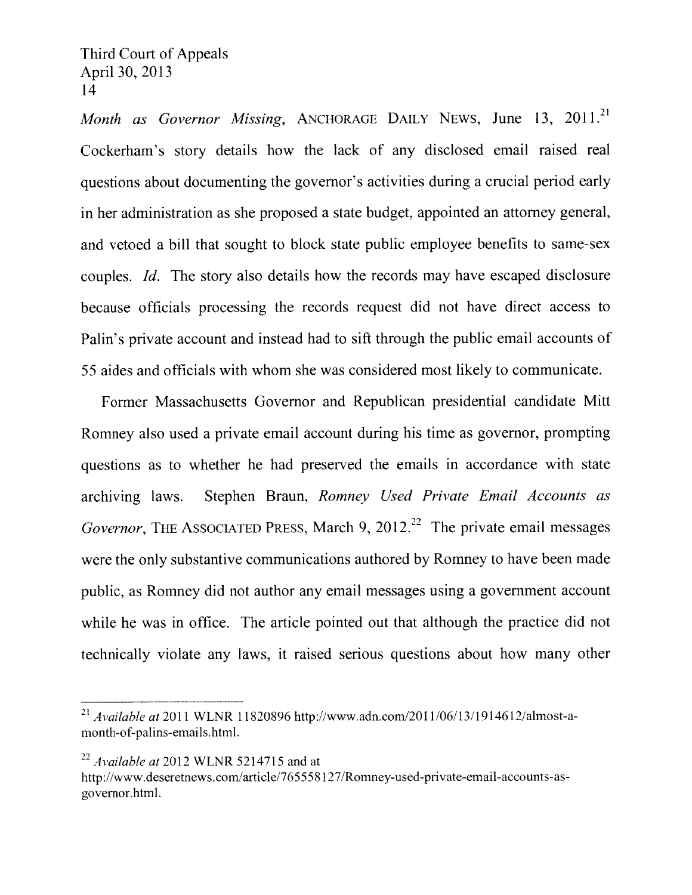Month as Governor Missing, ANCHORAGE DAILY NEWS, June 13, 2011.<sup>21</sup> Cockerham's story details how the lack of any disclosed email raised real questions about documenting the governor's activities during a crucial period early in her administration as she proposed a state budget, appointed an attorney general, and vetoed a bill that sought to block state public employee benefits to same-sex couples. Id. The story also details how the records may have escaped disclosure because officials processing the records request did not have direct access to Palm's private account and instead had to sift through the public email accounts of 55 aides and officials with whom she was considered most likely to communicate.

Former Massachusetts Governor and Republican presidential candidate Mitt Romney also used a private email account during his time as governor, prompting questions as to whether he had preserved the emails in accordance with state archiving laws. Stephen Braun, Romney Used Private Email Accounts as Governor, THE ASSOCIATED PRESS, March 9, 2012.<sup>22</sup> The private email messages were the only substantive communications authored by Romney to have been made public, as Romney did not author any email messages using a government account while he was in office. The article pointed out that although the practice did not technically violate any laws, it raised serious questions about how many other

 $^{22}$  Available at 2012 WLNR 5214715 and at

<sup>&</sup>lt;sup>21</sup> Available at 2011 WLNR 11820896 http://www.adn.com/2011/06/13/1914612/almost-amonth-of-palins-emails.html.

http://www.deseretnews.com/article/765558127/Romney-used-private-email-accounts-asgovernor.html.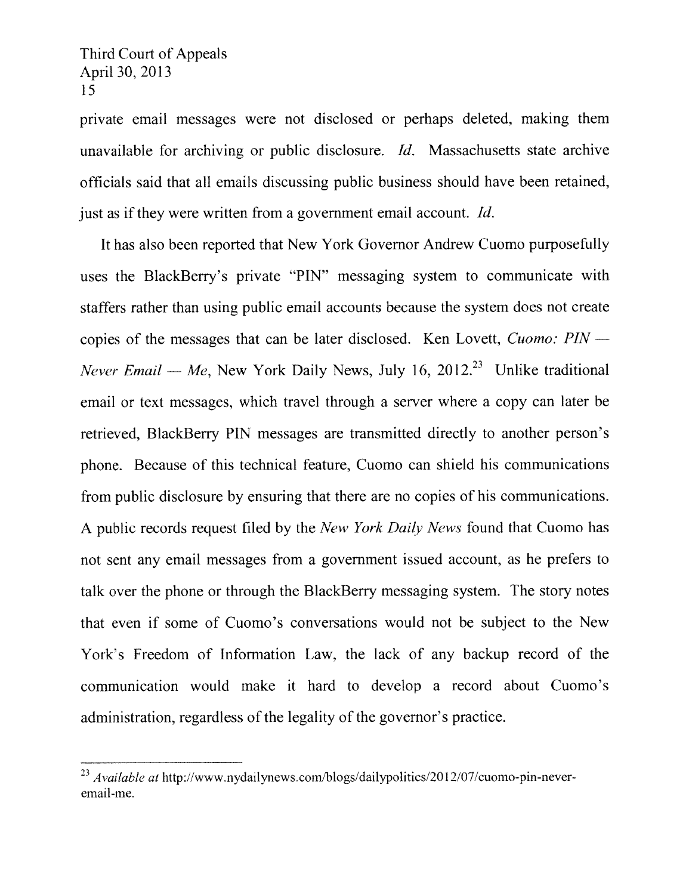private email messages were not disclosed or perhaps deleted, making them unavailable for archiving or public disclosure. Id. Massachusetts state archive officials said that all emails discussing public business should have been retained, just as if they were written from a government email account. *Id*.

It has also been reported that New York Governor Andrew Cuomo purposefully uses the BlackBerry's private "PIN" messaging system to communicate with staffers rather than using public email accounts because the system does not create copies of the messages that can be later disclosed. Ken Lovett, Cuomo: PIN — Never Email — Me, New York Daily News, July 16, 2012.<sup>23</sup> Unlike traditional email or text messages, which travel through a server where a copy can later be retrieved, BlackBerry PIN messages are transmitted directly to another person's phone. Because of this technical feature, Cuomo can shield his communications from public disclosure by ensuring that there are no copies of his communications. A public records request filed by the New York Daily News found that Cuomo has not sent any email messages from a government issued account, as he prefers to talk over the phone or through the BlackBerry messaging system. The story notes that even if some of Cuomo's conversations would not be subject to the New York's Freedom of Information Law, the lack of any backup record of the communication would make it hard to develop a record about Cuomo's administration, regardless of the legality of the governor's practice.

 $^{23}$  Available at http://www.nydailynews.com/blogs/dailypolitics/2012/07/cuomo-pin-neveremail-me.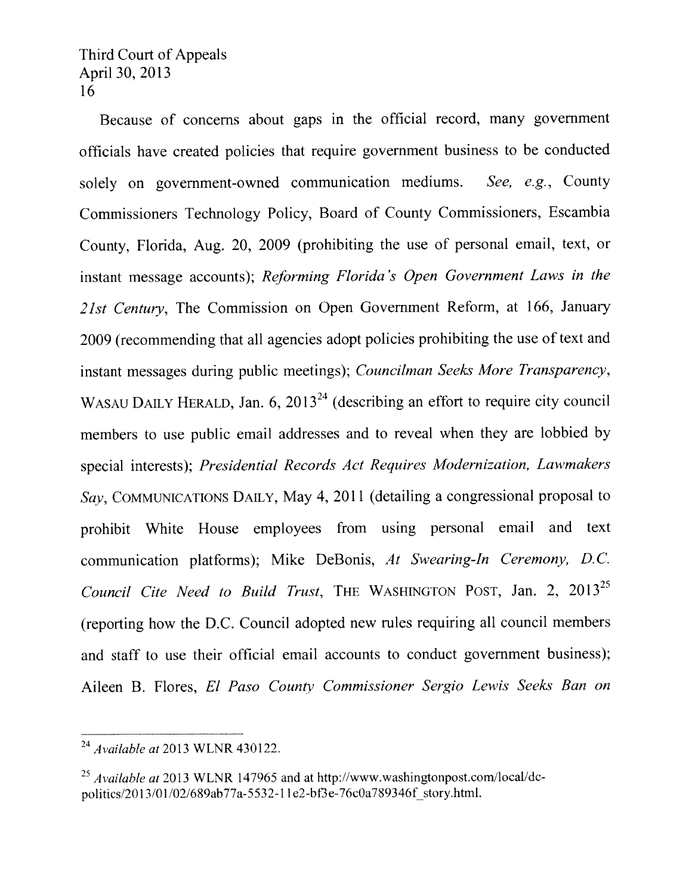Because of concerns about gaps in the official record, many government officials have created policies that require governmen<sup>t</sup> business to be conducted solely on government-owned communication mediums. See, e.g., County Commissioners Technology Policy, Board of County Commissioners, Escambia County, Florida, Aug. 20, <sup>2009</sup> (prohibiting the use of persona<sup>l</sup> email, text, or instant message accounts); Reforming Florida's Open Government Laws in the 21st Century, The Commission on Open Government Reform, at 166, January <sup>2009</sup> (recommending that all agencies adopt policies prohibiting the use oftext and instant messages during public meetings); Councilman Seeks More Transparency, instant messages during public meetings); *Councilman Seeks More Transparency*,<br>WASAU DAILY HERALD, Jan. 6, 2013<sup>24</sup> (describing an effort to require city council members to use public email addresses and to reveal when they are lobbied by special interests); Presidential Records Act Requires Modernization, Lawmakers Say, COMMUNICATIONS DAILY, May 4, 2011 (detailing a congressional proposal to prohibit White House employees from using personal email and text communication platforms); Mike DeBonis, At Swearing-In Ceremony, D.C. Council Cite Need to Build Trust, THE WASHINGTON POST, Jan. 2, 2013<sup>25</sup> (reporting how the D.C. Council adopted new rules requiring all council members and staff to use their official email accounts to conduct government business): Aileen B. Flores, El Paso County Commissioner Sergio Lewis Seeks Ban on

 $^{24}$  Available at 2013 WLNR 430122.

 $^{25}$  Available at 2013 WLNR 147965 and at http://www.washingtonpost.com/local/dcpolitics/2013/01/02/689ab77a-5532-11e2-bf3e-76c0a789346f story.html.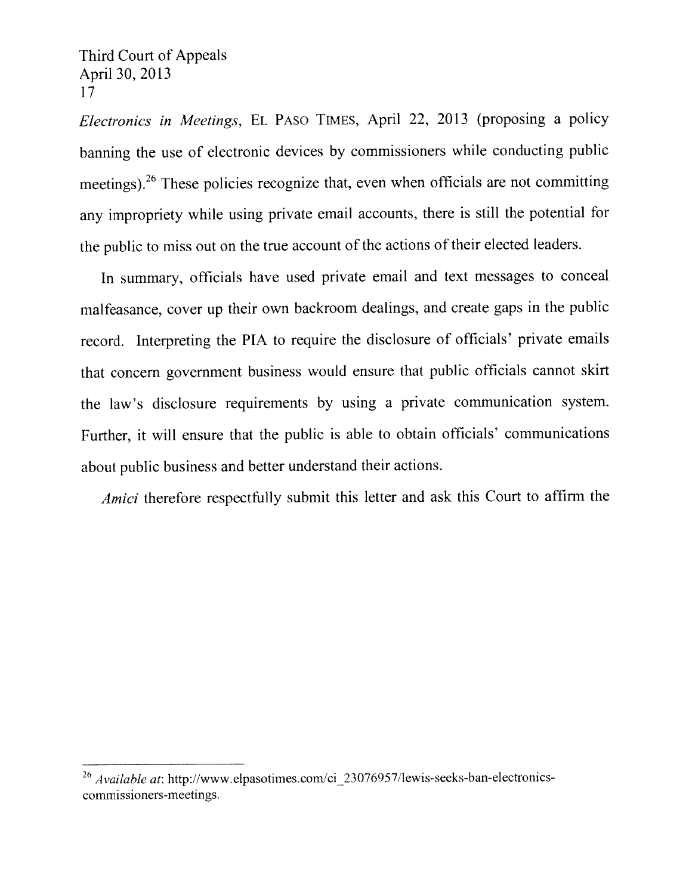Electronics in Meetings, EL PASO TIMES, April 22, 2013 (proposing a policy banning the use of electronic devices by commissioners while conducting public meetings). <sup>26</sup> These policies recognize that, even when officials are not committing any impropriety while using private email accounts, there is still the potential for the public to miss out on the true account of the actions of their elected leaders.

In summary, officials have used private email and text messages to conceal malfeasance, cover up their own backroom dealings, and create gaps in the public record. Interpreting the PIA to require the disclosure of officials' private emails that concern governmen<sup>t</sup> business would ensure that public officials cannot skirt the law's disclosure requirements by using <sup>a</sup> private communication system. Further, it will ensure that the public is able to obtain officials' communications about public business and better understand their actions.

Amici therefore respectfully submit this letter and ask this Court to affirm the

 $^{26}$  Available at: http://www.elpasotimes.com/ci 23076957/lewis-seeks-ban-electronicscommissioners-meetings.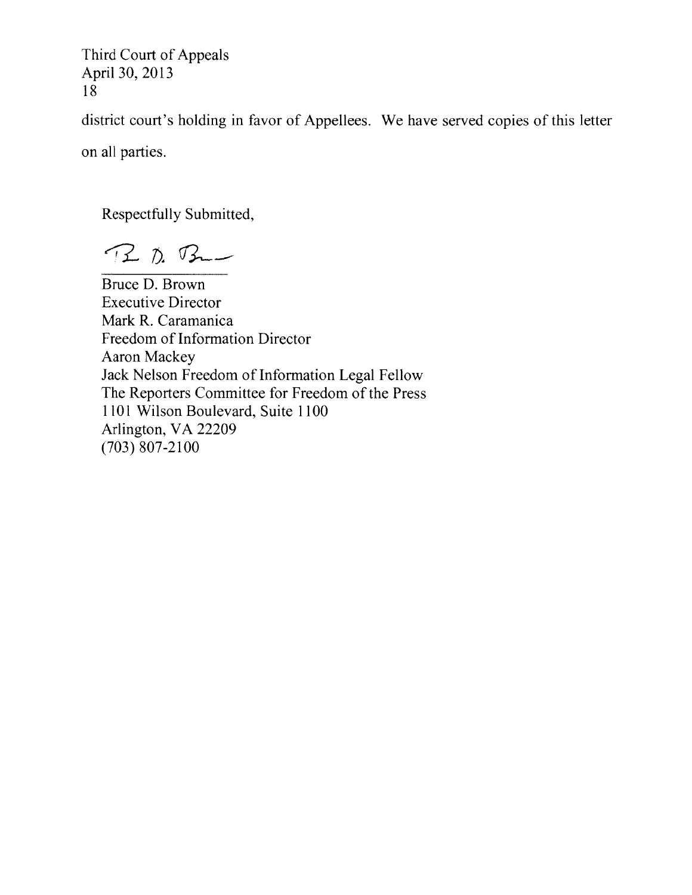district court's holding in favor of Appellees. We have served copies of this letter

on all parties.

Respectfully Submitted,

P. B. B .-

Bruce D, Brown Executive Director Mark R. Caramanica Freedom of Information Director Aaron Mackey Jack Nelson Freedom of Information Legal Fellow The Reporters Committee for Freedom of the Press 1101 Wilson Boulevard, Suite 1100 Arlington, VA 22209 (703) 807-2100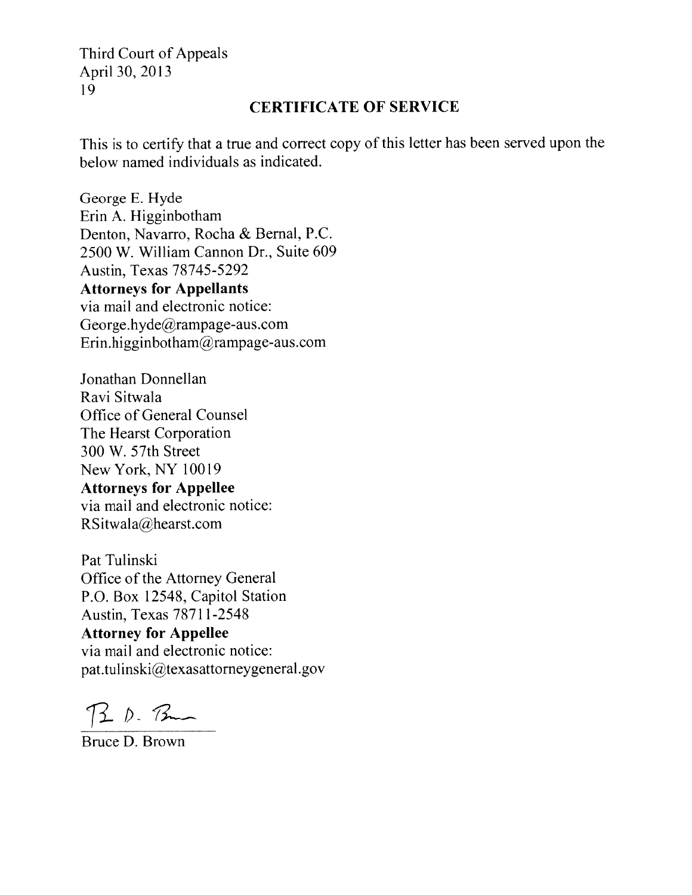## CERTIFICATE OF SERVICE

This is to certify that a true and correct copy of this letter has been served upon the below named individuals as indicated.

George E. Hyde Erin A. Higginbotham Denton, Navarro. Rocha & Bernal, P.C. 2500 W. William Cannon Dr., Suite 609 Austin, Texas 78745-5292 Attorneys for Appellants via mail and electronic notice: George.hyde@rampage-aus.com Erin.higginbotham $@$ rampage-aus.com

Jonathan Donnellan Ravi Sitwala Office of General Counsel The Hearst Corporation 300 W. 57th Street New York, NY 10019 Attorneys for Appellee via mail and electronic notice: RSitwala@hearst.com

Pat Tulinski Office of the Attorney General P.O. Box 12548, Capitol Station Austin, Texas 78711-2548 Attorney for Appellee via mail and electronic notice: pat.tulinski@texasattorneygeneral.gov

 $3.5.8$ 

Bruce D. Brown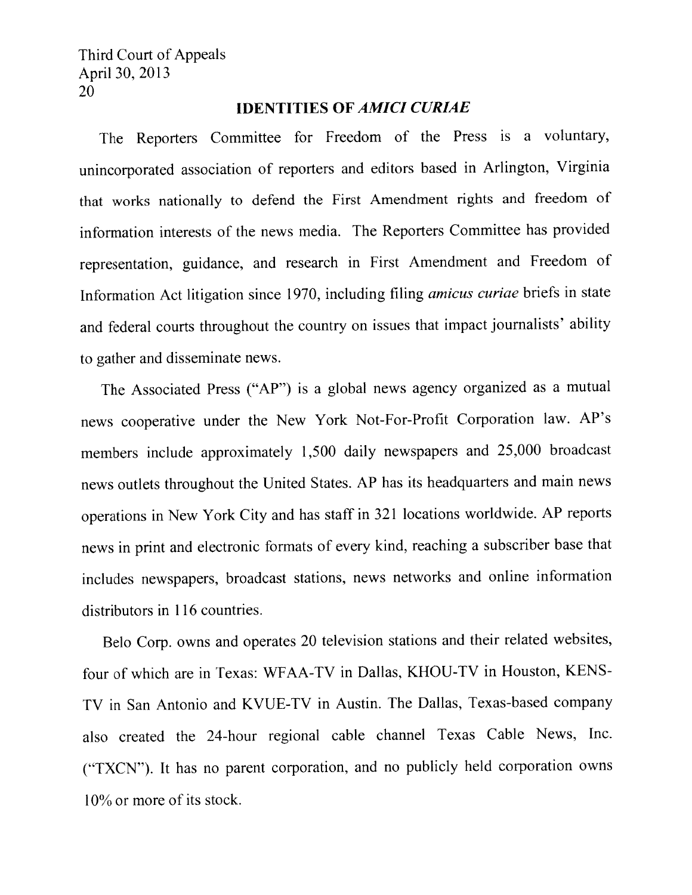### IDENTITIES OF AMICI CURiAE

The Reporters Committee for Freedom of the Press is a voluntary, unincorporated association of reporters and editors based in Arlington, Virginia that works nationally to defend the First Amendment rights and freedom of information interests of the news media. The Reporters Committee has provided representation, guidance, and research in First Amendment and Freedom of Information Act litigation since 1970, including filing *amicus curiae* briefs in state and federal courts throughout the country on issues that impact journalists' ability to gather and disseminate news.

The Associated Press ('AP") is <sup>a</sup> <sup>g</sup>lobal news agency organized as <sup>a</sup> mutual news cooperative under the New York Not-For-Profit Corporation law. AP's members include approximately 1,500 daily newspapers and 25,000 broadcast news outlets throughout the United States. AP has its headquarters and main news operations in New York City and has staff in <sup>321</sup> locations worldwide. AP reports news in print and electronic formats of every kind, reaching <sup>a</sup> subscriber base that includes newspapers, broadcast stations, news networks and online information distributors in 116 countries.

Belo Corp. owns and operates <sup>20</sup> television stations and their related websites, four of which are in Texas: \VFAA-TV in Dallas. KHOU-TV in Houston, KENS TV in San Antonio and KVUE-TV in Austin, The Dallas, Texas-based company also created the 24-hour regional cable channel Texas Cable News, Inc. (TNCN"). It has no paren<sup>t</sup> corporation, and no publicly held corporation owns 10% or more of its stock,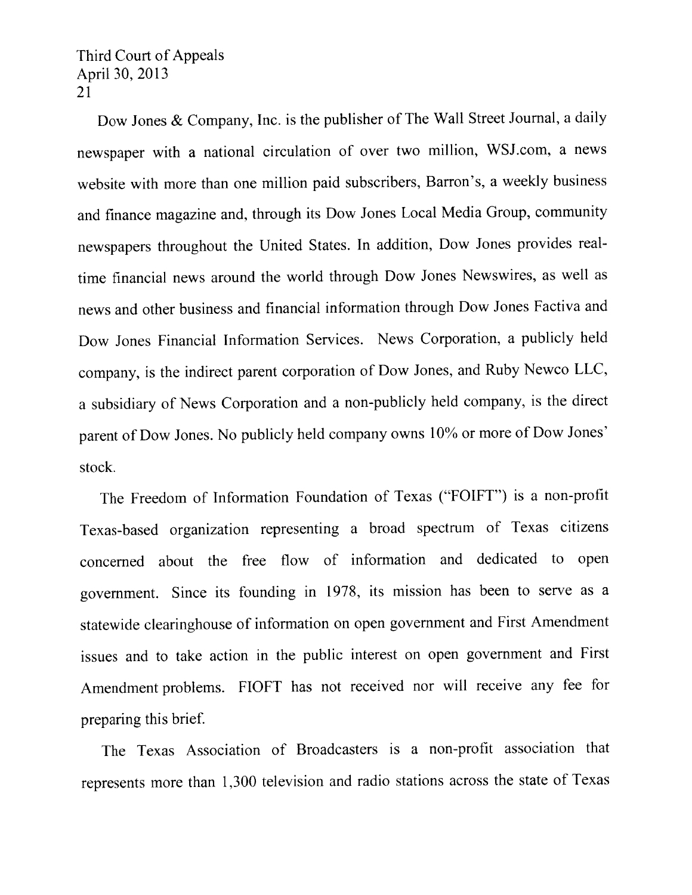Dow Jones & Company, Inc. is the publisher of The Wall Street Journal, <sup>a</sup> daily newspaper with a national circulation of over two million, WSJ.com, a news website with more than one million paid subscribers, Barron's, <sup>a</sup> weekly business and finance magazine and, through its Dow Jones Local Media Group, community newspapers throughout the United States. In addition, Dow Jones provides real time financial news around the world through Dow Jones Newswires, as well as news and other business and financial information through Dow Jones Factiva and Dow Jones Financial Information Services. News Corporation, <sup>a</sup> publicly held company, is the indirect paren<sup>t</sup> corporation of Dow Jones, and Ruby Newco LLC, <sup>a</sup> subsidiary of News Corporation and <sup>a</sup> non-publicly held company, is the direct paren<sup>t</sup> of Dow Jones. No publicly held company owns 10% or more of Dow Jones' stock.

The Freedom of Information Foundation of Texas ("FOIFT") is <sup>a</sup> non-profit Texas-based organization representing <sup>a</sup> broad spectrum of Texas citizens concerned about the free flow of information and dedicated to open government. Since its founding in 1978, its mission has been to serve as <sup>a</sup> statewide clearinghouse of information on open governmen<sup>t</sup> and First Amendment issues and to take action in the public interest on open governmen<sup>t</sup> and First Amendment problems. FIOFT has not received nor will receive any fee for preparing this brief.

The Texas Association of Broadcasters is <sup>a</sup> non-profit association that represents more than 1,300 television and radio stations across the state of Texas